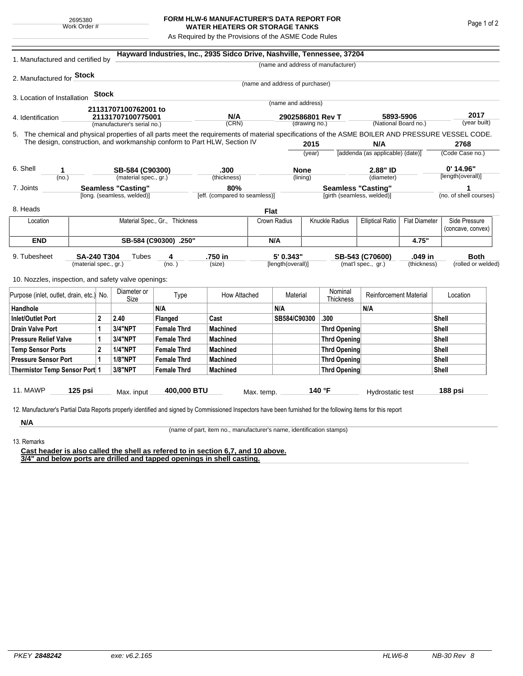## **FORM HLW-6 MANUFACTURER'S DATA REPORT FOR WATER HEATERS OR STORAGE TANKS**

As Required by the Provisions of the ASME Code Rules

| 1. Manufactured and certified by                                                                                                                                                                                                |                       |                           |                                                         |                                | Hayward Industries, Inc., 2935 Sidco Drive, Nashville, Tennessee, 37204 |                           |                                   |                     |                                           |                               |                                   |                    |                      |  |
|---------------------------------------------------------------------------------------------------------------------------------------------------------------------------------------------------------------------------------|-----------------------|---------------------------|---------------------------------------------------------|--------------------------------|-------------------------------------------------------------------------|---------------------------|-----------------------------------|---------------------|-------------------------------------------|-------------------------------|-----------------------------------|--------------------|----------------------|--|
|                                                                                                                                                                                                                                 |                       |                           |                                                         |                                |                                                                         |                           |                                   |                     | (name and address of manufacturer)        |                               |                                   |                    |                      |  |
| 2. Manufactured for <b>Stock</b>                                                                                                                                                                                                |                       |                           |                                                         |                                |                                                                         |                           |                                   |                     |                                           |                               |                                   |                    |                      |  |
|                                                                                                                                                                                                                                 |                       |                           |                                                         |                                |                                                                         |                           | (name and address of purchaser)   |                     |                                           |                               |                                   |                    |                      |  |
| 3. Location of Installation                                                                                                                                                                                                     |                       | Stock                     |                                                         |                                |                                                                         |                           | (name and address)                |                     |                                           |                               |                                   |                    |                      |  |
|                                                                                                                                                                                                                                 |                       |                           | 21131707100762001 to                                    |                                |                                                                         |                           |                                   |                     |                                           |                               |                                   |                    |                      |  |
| 4. Identification                                                                                                                                                                                                               |                       |                           | 21131707100775001                                       |                                | N/A<br>(CRN)                                                            |                           | 2902586801 Rev T<br>(drawing no.) |                     |                                           |                               | 5893-5906<br>(National Board no.) |                    | 2017<br>(year built) |  |
|                                                                                                                                                                                                                                 |                       |                           | (manufacturer's serial no.)                             |                                |                                                                         |                           |                                   |                     |                                           |                               |                                   |                    |                      |  |
| 5. The chemical and physical properties of all parts meet the requirements of material specifications of the ASME BOILER AND PRESSURE VESSEL CODE.<br>The design, construction, and workmanship conform to Part HLW, Section IV |                       |                           |                                                         |                                |                                                                         |                           |                                   | 2015                |                                           | N/A                           |                                   |                    | 2768                 |  |
|                                                                                                                                                                                                                                 |                       |                           |                                                         |                                |                                                                         |                           | (year)                            |                     | [addenda (as applicable) (date)]          |                               |                                   |                    | (Code Case no.)      |  |
|                                                                                                                                                                                                                                 |                       |                           |                                                         |                                |                                                                         |                           |                                   |                     |                                           |                               |                                   |                    |                      |  |
| 6. Shell<br>1                                                                                                                                                                                                                   |                       |                           | SB-584 (C90300)                                         |                                | .300                                                                    |                           | <b>None</b>                       |                     | 2.88" ID                                  |                               |                                   |                    | 0' 14.96"            |  |
| (no.)                                                                                                                                                                                                                           |                       |                           | (material spec., gr.)                                   |                                | (thickness)                                                             |                           | (lining)                          |                     | (diameter)                                |                               | [length(overall)]                 |                    |                      |  |
| 7. Joints                                                                                                                                                                                                                       |                       |                           | <b>Seamless "Casting"</b><br>[long. (seamless, welded)] |                                | 80%<br>[eff. (compared to seamless)]                                    | <b>Seamless "Casting"</b> |                                   |                     |                                           |                               | 1<br>(no. of shell courses)       |                    |                      |  |
|                                                                                                                                                                                                                                 |                       |                           |                                                         |                                |                                                                         |                           |                                   |                     | [girth (seamless, welded)]                |                               |                                   |                    |                      |  |
| 8. Heads                                                                                                                                                                                                                        |                       |                           |                                                         |                                |                                                                         | <b>Flat</b>               |                                   |                     |                                           |                               |                                   |                    |                      |  |
| Location                                                                                                                                                                                                                        |                       |                           |                                                         | Material Spec., Gr., Thickness |                                                                         |                           | Crown Radius                      |                     | Knuckle Radius<br><b>Elliptical Ratio</b> |                               | <b>Flat Diameter</b>              |                    | Side Pressure        |  |
|                                                                                                                                                                                                                                 |                       |                           |                                                         |                                |                                                                         |                           |                                   |                     |                                           |                               |                                   | (concave, convex)  |                      |  |
| <b>END</b>                                                                                                                                                                                                                      | SB-584 (C90300) .250" |                           |                                                         |                                |                                                                         |                           | N/A                               |                     |                                           |                               | 4.75"                             |                    |                      |  |
| 9. Tubesheet<br><b>SA-240 T304</b><br>(material spec., gr.)                                                                                                                                                                     |                       |                           | Tubes                                                   | 4                              | .750 in                                                                 |                           | 5' 0.343"                         |                     | SB-543 (C70600)                           |                               | .049 in                           | <b>Both</b>        |                      |  |
|                                                                                                                                                                                                                                 |                       |                           | (no. )                                                  |                                | (size)                                                                  |                           | [length(overall)]                 |                     | (mat'l spec., gr.)                        |                               | (thickness)                       | (rolled or welded) |                      |  |
| 10. Nozzles, inspection, and safety valve openings:                                                                                                                                                                             |                       |                           |                                                         |                                |                                                                         |                           |                                   |                     |                                           |                               |                                   |                    |                      |  |
|                                                                                                                                                                                                                                 |                       |                           |                                                         |                                |                                                                         |                           |                                   |                     |                                           |                               |                                   |                    |                      |  |
| Purpose (inlet, outlet, drain, etc.) No.                                                                                                                                                                                        |                       |                           | Diameter or<br>Size                                     | Type                           | How Attached                                                            |                           | Material                          |                     | Nominal<br>Thickness                      | <b>Reinforcement Material</b> |                                   |                    | Location             |  |
| Handhole                                                                                                                                                                                                                        |                       |                           |                                                         | N/A                            |                                                                         |                           | N/A                               |                     |                                           | N/A                           |                                   |                    |                      |  |
| $\overline{2}$<br><b>Inlet/Outlet Port</b>                                                                                                                                                                                      |                       | 2.40                      | Flanged                                                 | Cast                           |                                                                         | SB584/C90300              |                                   | .300                |                                           |                               | Shell                             |                    |                      |  |
| <b>Drain Valve Port</b><br>1                                                                                                                                                                                                    |                       | 3/4"NPT                   | <b>Female Thrd</b>                                      | <b>Machined</b>                |                                                                         |                           |                                   | <b>Thrd Opening</b> |                                           |                               |                                   | Shell              |                      |  |
| <b>Pressure Relief Valve</b><br>1                                                                                                                                                                                               |                       | 3/4"NPT                   | <b>Female Thrd</b>                                      | <b>Machined</b>                |                                                                         |                           |                                   | <b>Thrd Opening</b> |                                           | Shell                         |                                   |                    |                      |  |
| $\overline{2}$<br><b>Temp Sensor Ports</b>                                                                                                                                                                                      |                       |                           | <b>1/4"NPT</b>                                          | <b>Female Thrd</b>             | <b>Machined</b>                                                         |                           |                                   |                     | <b>Thrd Opening</b>                       |                               | Shell                             |                    |                      |  |
| <b>Pressure Sensor Port</b><br>1                                                                                                                                                                                                |                       | <b>1/8"NPT</b>            | <b>Female Thrd</b>                                      | <b>Machined</b>                |                                                                         |                           |                                   | Thrd Opening        |                                           | Shell                         |                                   |                    |                      |  |
| Thermistor Temp Sensor Port 1                                                                                                                                                                                                   |                       |                           | 3/8"NPT                                                 | <b>Female Thrd</b>             | <b>Machined</b>                                                         |                           |                                   |                     | Thrd Opening                              |                               | Shell                             |                    |                      |  |
|                                                                                                                                                                                                                                 |                       |                           |                                                         |                                |                                                                         |                           |                                   |                     |                                           |                               |                                   |                    |                      |  |
| 11. MAWP<br>$125$ psi                                                                                                                                                                                                           |                       | 400,000 BTU<br>Max. input |                                                         | Max. temp.                     |                                                                         | 140 °F                    |                                   |                     | Hydrostatic test                          |                               | 188 psi                           |                    |                      |  |
|                                                                                                                                                                                                                                 |                       |                           |                                                         |                                |                                                                         |                           |                                   |                     |                                           |                               |                                   |                    |                      |  |
| 12. Manufacturer's Partial Data Reports properly identified and signed by Commissioned Inspectors have been furnished for the following items for this report                                                                   |                       |                           |                                                         |                                |                                                                         |                           |                                   |                     |                                           |                               |                                   |                    |                      |  |
| N/A                                                                                                                                                                                                                             |                       |                           |                                                         |                                |                                                                         |                           |                                   |                     |                                           |                               |                                   |                    |                      |  |

(name of part, item no., manufacturer's name, identification stamps)

13. Remarks

**Cast header is also called the shell as refered to in section 6,7, and 10 above. 3/4" and below ports are drilled and tapped openings in shell casting.**